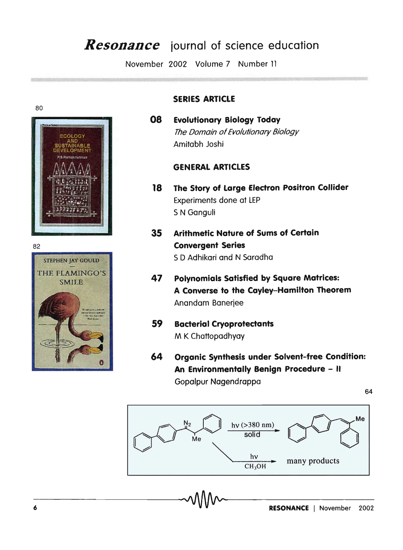# *Resonance* **iournal of science education**

November 2002 Volume 7 Number 11







# **SERIES ARTICLE**

**08 Evolutionary Biology Today**  The Domain of Evolutionary Biology Amitabh Joshi

## **GENERAL ARTICLES**

- **18 The Story of large Electron Positron Collider**  Experiments done at LEP 5 N Ganguli
- **35 Arithmetic Nature of Sums of Certain**  82 **Convergent Series**  STEPHEN JAY GOULD 5 0 Adhikari and N Saradha
	- THE FLAMINGO'S **47 Polynomials Satisfied by Square Matrices:** SMILE **A Converse to the Cayley-Hamilton Theorem**  Anandam Banerjee
		- **59 Bacterial Cryoprotectants**  M K Chattopadhyay
		- **64 Organic Synthesis under Solvent-free Condition: An Environmentally Benign Procedure - II**  Gopalpur Nagendrappa

64